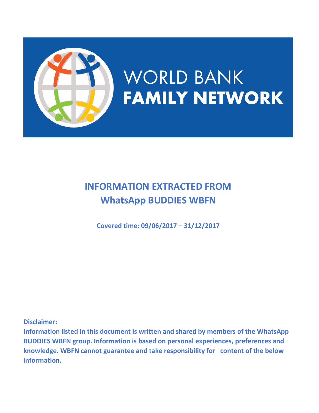

# **INFORMATION EXTRACTED FROM WhatsApp BUDDIES WBFN**

**Covered time: 09/06/2017 – 31/12/2017**

**Disclaimer:** 

**Information listed in this document is written and shared by members of the WhatsApp BUDDIES WBFN group. Information is based on personal experiences, preferences and knowledge. WBFN cannot guarantee and take responsibility for content of the below information.**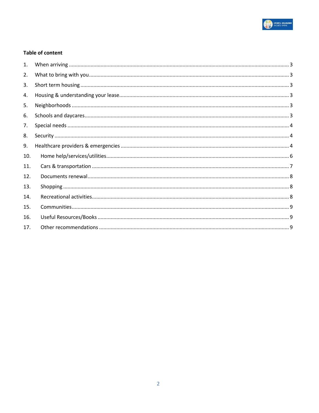

#### **Table of content**

| 1.  |  |
|-----|--|
| 2.  |  |
| 3.  |  |
| 4.  |  |
| 5.  |  |
| 6.  |  |
| 7.  |  |
| 8.  |  |
| 9.  |  |
| 10. |  |
| 11. |  |
| 12. |  |
| 13. |  |
| 14. |  |
| 15. |  |
| 16. |  |
| 17. |  |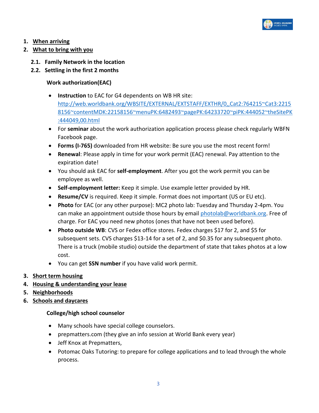

# <span id="page-2-0"></span>**1. When arriving**

## <span id="page-2-1"></span>**2. What to bring with you**

- **2.1. Family Network in the location**
- **2.2. Settling in the first 2 months**

# **Work authorization(EAC)**

- **Instruction** to EAC for G4 dependents on WB HR site: [http://web.worldbank.org/WBSITE/EXTERNAL/EXTSTAFF/EXTHR/0,,Cat2:764215~Cat3:2215](http://web.worldbank.org/WBSITE/EXTERNAL/EXTSTAFF/EXTHR/0,,Cat2:764215~Cat3:22158156~contentMDK:22158156~menuPK:6482493~pagePK:64233720~piPK:444052~theSitePK:444049,00.html) [8156~contentMDK:22158156~menuPK:6482493~pagePK:64233720~piPK:444052~theSitePK](http://web.worldbank.org/WBSITE/EXTERNAL/EXTSTAFF/EXTHR/0,,Cat2:764215~Cat3:22158156~contentMDK:22158156~menuPK:6482493~pagePK:64233720~piPK:444052~theSitePK:444049,00.html) [:444049,00.html](http://web.worldbank.org/WBSITE/EXTERNAL/EXTSTAFF/EXTHR/0,,Cat2:764215~Cat3:22158156~contentMDK:22158156~menuPK:6482493~pagePK:64233720~piPK:444052~theSitePK:444049,00.html)
- For **seminar** about the work authorization application process please check regularly WBFN Facebook page.
- **Forms (I-765)** downloaded from HR website: Be sure you use the most recent form!
- **Renewal**: Please apply in time for your work permit (EAC) renewal. Pay attention to the expiration date!
- You should ask EAC for **self-employment**. After you got the work permit you can be employee as well.
- **Self-employment letter:** Keep it simple. Use example letter provided by HR.
- **Resume/CV** is required. Keep it simple. Format does not important (US or EU etc).
- **Photo** for EAC (or any other purpose): MC2 photo lab: Tuesday and Thursday 2-4pm. You can make an appointment outside those hours by email [photolab@worldbank.org.](mailto:photolab@worldbank.org) Free of charge. For EAC you need new photos (ones that have not been used before).
- **Photo outside WB**: CVS or Fedex office stores. Fedex charges \$17 for 2, and \$5 for subsequent sets. CVS charges \$13-14 for a set of 2, and \$0.35 for any subsequent photo. There is a truck (mobile studio) outside the department of state that takes photos at a low cost.
- You can get **SSN number** if you have valid work permit.
- <span id="page-2-2"></span>**3. Short term housing**
- <span id="page-2-3"></span>**4. Housing & understanding your lease**
- <span id="page-2-4"></span>**5. Neighborhoods**
- <span id="page-2-5"></span>**6. Schools and daycares**

#### **College/high school counselor**

- Many schools have special college counselors.
- prepmatters.com (they give an info session at World Bank every year)
- Jeff Knox at Prepmatters,
- Potomac Oaks Tutoring: to prepare for college applications and to lead through the whole process.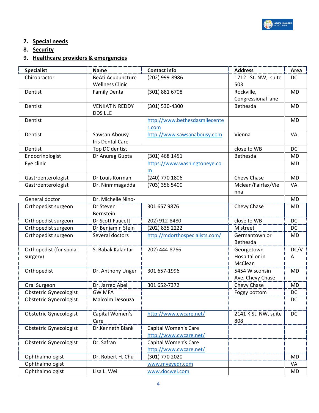

# <span id="page-3-0"></span>**7. Special needs**

<span id="page-3-1"></span>**8. Security**

# <span id="page-3-2"></span>**9. Healthcare providers & emergencies**

| <b>Specialist</b>             | <b>Name</b>            | <b>Contact info</b>            | <b>Address</b>            | Area      |
|-------------------------------|------------------------|--------------------------------|---------------------------|-----------|
| Chiropractor                  | BeAti Acupuncture      | (202) 999-8986                 | 1712   St. NW, suite      | <b>DC</b> |
|                               | <b>Wellness Clinic</b> |                                | 503                       |           |
| Dentist                       | <b>Family Dental</b>   | (301) 881 6708                 | Rockville,                | MD        |
|                               |                        |                                | Congressional lane        |           |
| Dentist                       | <b>VENKAT N REDDY</b>  | (301) 530-4300                 | Bethesda                  | MD        |
|                               | <b>DDS LLC</b>         |                                |                           |           |
| Dentist                       |                        | http://www.bethesdasmilecente  |                           | MD        |
|                               |                        | r.com                          |                           |           |
| Dentist                       | Sawsan Abousy          | http://www.sawsanabousy.com    | Vienna                    | VA        |
|                               | Iris Dental Care       |                                |                           |           |
| Dentist                       | Top DC dentist         |                                | close to WB               | DC        |
| Endocrinologist               | Dr Anurag Gupta        | (301) 468 1451                 | Bethesda                  | <b>MD</b> |
| Eye clinic                    |                        | https://www.washingtoneye.co   |                           | <b>MD</b> |
|                               |                        | m                              |                           |           |
| Gastroenterologist            | Dr Louis Korman        | (240) 770 1806                 | Chevy Chase               | <b>MD</b> |
| Gastroenterologist            | Dr. Ninmmagadda        | (703) 356 5400                 | Mclean/Fairfax/Vie        | VA        |
|                               |                        |                                | nna                       |           |
| General doctor                | Dr. Michelle Nino-     |                                |                           | <b>MD</b> |
| Orthopedist surgeon           | Dr Steven              | 301 657 9876                   | Chevy Chase               | MD        |
|                               | Bernstein              |                                |                           |           |
| Orthopedist surgeon           | Dr Scott Faucett       | 202) 912-8480                  | close to WB               | <b>DC</b> |
| Orthopedist surgeon           | Dr Benjamin Stein      | (202) 835 2222                 | M street                  | DC        |
| Orthopedist surgeon           | Several doctors        | http://mdorthospecialists.com/ | Germantown or             | MD        |
|                               |                        |                                | Bethesda                  |           |
| Orthopedist (for spinal       | S. Babak Kalantar      | 202) 444-8766                  | Georgetown                | DC/V      |
| surgery)                      |                        |                                | Hospital or in<br>McClean | A         |
|                               |                        | 301 657-1996                   | 5454 Wisconsin            | <b>MD</b> |
| Orthopedist                   | Dr. Anthony Unger      |                                | Ave, Chevy Chase          |           |
| Oral Surgeon                  | Dr. Jarred Abel        | 301 652-7372                   | Chevy Chase               | MD        |
| <b>Obstetric Gynecologist</b> | <b>GW MFA</b>          |                                |                           | DC        |
|                               | Malcolm Desouza        |                                | Foggy bottom              | DC        |
| <b>Obstetric Gynecologist</b> |                        |                                |                           |           |
| <b>Obstetric Gynecologist</b> | Capital Women's        | http://www.cwcare.net/         | 2141 K St. NW, suite      | DC        |
|                               | Care                   |                                | 808                       |           |
| <b>Obstetric Gynecologist</b> | Dr.Kenneth Blank       | Capital Women's Care           |                           |           |
|                               |                        | http://www.cwcare.net/         |                           |           |
| <b>Obstetric Gynecologist</b> | Dr. Safran             | Capital Women's Care           |                           |           |
|                               |                        | http://www.cwcare.net/         |                           |           |
| Ophthalmologist               | Dr. Robert H. Chu      | (301) 770 2020                 |                           | MD        |
| Ophthalmologist               |                        | www.myeyedr.com                |                           | VA        |
| Ophthalmologist               | Lisa L. Wei            | www.docwei.com                 |                           | MD        |
|                               |                        |                                |                           |           |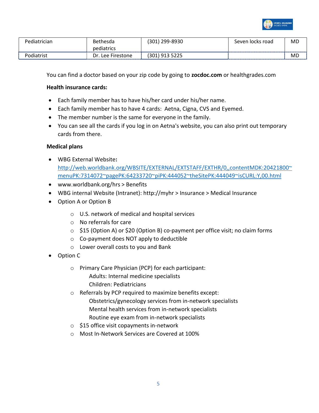

| Pediat<br>frician. | hesda.<br>nH             | 10∩^<br>299-8930<br>3U<br>---         | road<br>. locks<br>seven i | <b>MD</b> |
|--------------------|--------------------------|---------------------------------------|----------------------------|-----------|
|                    | pediatrics               |                                       |                            |           |
| Podiatrist         | ∩ר<br>Lee I<br>Firestone | 301<br>. 012<br>ر ے ے ر<br><u>JIJ</u> |                            | MD        |

You can find a doctor based on your zip code by going to **zocdoc.com** or healthgrades.com

#### **Health insurance cards:**

- Each family member has to have his/her card under his/her name.
- Each family member has to have 4 cards: Aetna, Cigna, CVS and Eyemed.
- The member number is the same for everyone in the family.
- You can see all the cards if you log in on Aetna's website, you can also print out temporary cards from there.

#### **Medical plans**

- WBG External Website**:**  [http://web.worldbank.org/WBSITE/EXTERNAL/EXTSTAFF/EXTHR/0,,contentMDK:20421800~](http://web.worldbank.org/WBSITE/EXTERNAL/EXTSTAFF/EXTHR/0,,contentMDK:20421800~menuPK:7314072~pagePK:64233720~piPK:444052~theSitePK:444049~isCURL:Y,00.html) [menuPK:7314072~pagePK:64233720~piPK:444052~theSitePK:444049~isCURL:Y,00.html](http://web.worldbank.org/WBSITE/EXTERNAL/EXTSTAFF/EXTHR/0,,contentMDK:20421800~menuPK:7314072~pagePK:64233720~piPK:444052~theSitePK:444049~isCURL:Y,00.html)
- www.worldbank.org/hrs > Benefits
- WBG internal Website (Intranet): http://myhr > Insurance > Medical Insurance
- Option A or Option B
	- o U.S. network of medical and hospital services
	- o No referrals for care
	- o \$15 (Option A) or \$20 (Option B) co-payment per office visit; no claim forms
	- o Co-payment does NOT apply to deductible
	- o Lower overall costs to you and Bank
- Option C
	- o Primary Care Physician (PCP) for each participant: Adults: Internal medicine specialists Children: Pediatricians
	- o Referrals by PCP required to maximize benefits except:
		- Obstetrics/gynecology services from in-network specialists Mental health services from in-network specialists Routine eye exam from in-network specialists
	- o \$15 office visit copayments in-network
	- o Most In-Network Services are Covered at 100%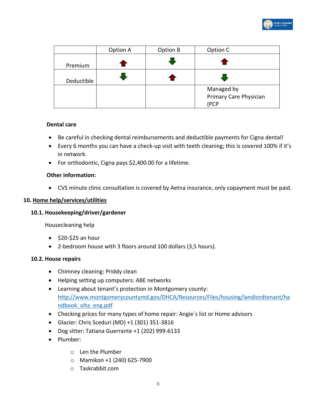

|            | Option A | Option B | Option C                                     |
|------------|----------|----------|----------------------------------------------|
| Premium    |          |          |                                              |
| Deductible |          |          |                                              |
|            |          |          | Managed by<br>Primary Care Physician<br>(PCP |

#### **Dental care**

- Be careful in checking dental reimbursements and deductible payments for Cigna dental!
- Every 6 months you can have a check-up visit with teeth cleaning; this is covered 100% if it's in network.
- For orthodontic, Cigna pays \$2,400.00 for a lifetime.

#### **Other information:**

• CVS minute clinic consultation is covered by Aetna insurance, only copayment must be paid.

#### <span id="page-5-0"></span>**10. Home help/services/utilities**

#### **10.1. Housekeeping/driver/gardener**

Housecleaning help

- $\bullet$  \$20-\$25 an hour
- 2-bedroom house with 3 floors around 100 dollars (3,5 hours).

#### **10.2. House repairs**

- Chimney cleaning: Priddy clean
- Helping setting up computers: ABE networks
- Learning about tenant's protection in Montgomery county: [http://www.montgomerycountymd.gov/DHCA/Resources/Files/housing/landlordtenant/ha](http://www.montgomerycountymd.gov/DHCA/Resources/Files/housing/landlordtenant/handbook_olta_eng.pdf) [ndbook\\_olta\\_eng.pdf](http://www.montgomerycountymd.gov/DHCA/Resources/Files/housing/landlordtenant/handbook_olta_eng.pdf)
- Checking prices for many types of home repair: Angie`s list or Home advisors
- Glazier: Chris Sceduri (MD) +1 (301) 351-3816
- Dog sitter: Tatiana Guerrante +1 (202) 999-6133
- Plumber:
	- o Len the Plumber
	- o Mamikon +1 (240) 625-7900
	- o Taskrabbit.com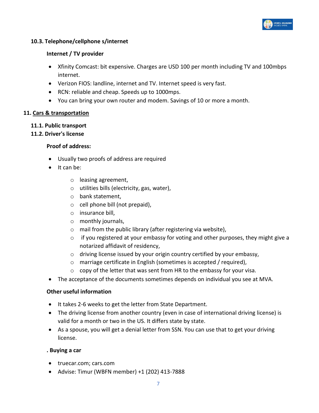

#### **10.3. Telephone/cellphone s/internet**

#### **Internet / TV provider**

- Xfinity Comcast: bit expensive. Charges are USD 100 per month including TV and 100mbps internet.
- Verizon FIOS: landline, internet and TV. Internet speed is very fast.
- RCN: reliable and cheap. Speeds up to 1000mps.
- You can bring your own router and modem. Savings of 10 or more a month.

#### <span id="page-6-0"></span>**11. Cars & transportation**

#### **11.1. Public transport**

#### **11.2. Driver's license**

#### **Proof of address:**

- Usually two proofs of address are required
- It can be:
	- o leasing agreement,
	- o utilities bills (electricity, gas, water),
	- o bank statement,
	- o cell phone bill (not prepaid),
	- o insurance bill,
	- o monthly journals,
	- o mail from the public library (after registering via website),
	- $\circ$  if you registered at your embassy for voting and other purposes, they might give a notarized affidavit of residency,
	- $\circ$  driving license issued by your origin country certified by your embassy,
	- o marriage certificate in English (sometimes is accepted / required),
	- o copy of the letter that was sent from HR to the embassy for your visa.
- The acceptance of the documents sometimes depends on individual you see at MVA.

#### **Other useful information**

- It takes 2-6 weeks to get the letter from State Department.
- The driving license from another country (even in case of international driving license) is valid for a month or two in the US. It differs state by state.
- As a spouse, you will get a denial letter from SSN. You can use that to get your driving license.

#### **. Buying a car**

- truecar.com; cars.com
- Advise: Timur (WBFN member) +1 (202) 413-7888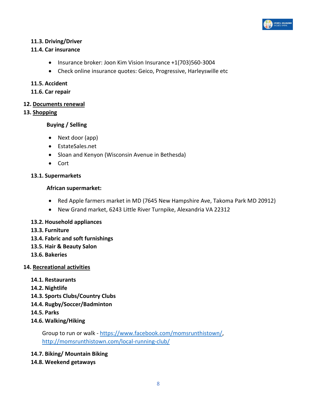

# **11.3. Driving/Driver**

#### **11.4. Car insurance**

- Insurance broker: Joon Kim Vision Insurance +1(703)560-3004
- Check online insurance quotes: Geico, Progressive, Harleyswille etc

#### **11.5. Accident**

#### **11.6. Car repair**

#### <span id="page-7-0"></span>**12. Documents renewal**

#### <span id="page-7-1"></span>**13. Shopping**

#### **Buying / Selling**

- Next door (app)
- EstateSales.net
- Sloan and Kenyon (Wisconsin Avenue in Bethesda)
- Cort

#### **13.1. Supermarkets**

#### **African supermarket:**

- Red Apple farmers market in MD (7645 New Hampshire Ave, Takoma Park MD 20912)
- New Grand market, 6243 Little River Turnpike, Alexandria VA 22312

#### **13.2. Household appliances**

- **13.3. Furniture**
- **13.4. Fabric and soft furnishings**
- **13.5. Hair & Beauty Salon**
- **13.6. Bakeries**

#### <span id="page-7-2"></span>**14. Recreational activities**

- **14.1. Restaurants**
- **14.2. Nightlife**
- **14.3. Sports Clubs/Country Clubs**
- **14.4. Rugby/Soccer/Badminton**
- **14.5. Parks**
- **14.6. Walking/Hiking**

Group to run or walk - [https://www.facebook.com/momsrunthistown/,](https://www.facebook.com/momsrunthistown/) <http://momsrunthistown.com/local-running-club/>

- **14.7. Biking/ Mountain Biking**
- **14.8. Weekend getaways**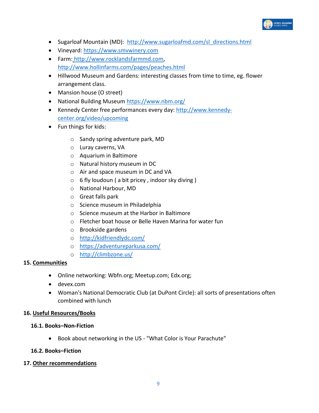

- Sugarloaf Mountain (MD): [http://www.sugarloafmd.com/sl\\_directions.html](http://www.sugarloafmd.com/sl_directions.html)
- Vineyard: [https://www.smvwinery.com](https://www.smvwinery.com/)
- Farm: [http://www.rocklandsfarmmd.com,](http://www.rocklandsfarmmd.com/) <http://www.hollinfarms.com/pages/peaches.html>
- Hillwood Museum and Gardens: interesting classes from time to time, eg. flower arrangement class.
- Mansion house (O street)
- National Building Museum<https://www.nbm.org/>
- Kennedy Center free performances every day: [http://www.kennedy](http://www.kennedy-center.org/video/upcoming)[center.org/video/upcoming](http://www.kennedy-center.org/video/upcoming)
- Fun things for kids:
	- o Sandy spring adventure park, MD
	- o Luray caverns, VA
	- o Aquarium in Baltimore
	- o Natural history museum in DC
	- o Air and space museum in DC and VA
	- $\circ$  6 fly loudoun ( a bit pricey, indoor sky diving )
	- o National Harbour, MD
	- o Great falls park
	- o Science museum in Philadelphia
	- o Science museum at the Harbor in Baltimore
	- o Fletcher boat house or Belle Haven Marina for water fun
	- o Brookside gardens
	- o <http://kidfriendlydc.com/>
	- o <https://adventureparkusa.com/>
	- o <http://climbzone.us/>

#### <span id="page-8-0"></span>**15. Communities**

- Online networking: Wbfn.org; Meetup.com; Edx.org;
- devex.com
- Woman's National Democratic Club (at DuPont Circle): all sorts of presentations often combined with lunch

#### <span id="page-8-1"></span>**16. Useful Resources/Books**

#### **16.1. Books–Non-Fiction**

• Book about networking in the US - "What Color is Your Parachute"

#### **16.2. Books–Fiction**

#### <span id="page-8-2"></span>**17. Other recommendations**